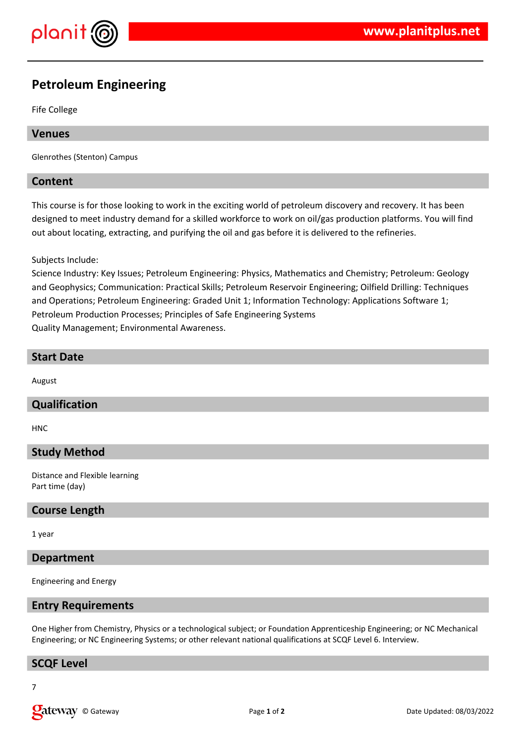

# **Petroleum Engineering**

Fife College

## **Venues**

Glenrothes (Stenton) Campus

## **Content**

This course is for those looking to work in the exciting world of petroleum discovery and recovery. It has been designed to meet industry demand for a skilled workforce to work on oil/gas production platforms. You will find out about locating, extracting, and purifying the oil and gas before it is delivered to the refineries.

Subjects Include:

Science Industry: Key Issues; Petroleum Engineering: Physics, Mathematics and Chemistry; Petroleum: Geology and Geophysics; Communication: Practical Skills; Petroleum Reservoir Engineering; Oilfield Drilling: Techniques and Operations; Petroleum Engineering: Graded Unit 1; Information Technology: Applications Software 1; Petroleum Production Processes; Principles of Safe Engineering Systems Quality Management; Environmental Awareness.

## **Start Date**

August

## **Qualification**

HNC

## **Study Method**

Distance and Flexible learning Part time (day)

## **Course Length**

1 year

### **Department**

Engineering and Energy

#### **Entry Requirements**

One Higher from Chemistry, Physics or a technological subject; or Foundation Apprenticeship Engineering; or NC Mechanical Engineering; or NC Engineering Systems; or other relevant national qualifications at SCQF Level 6. Interview.

## **SCQF Level**